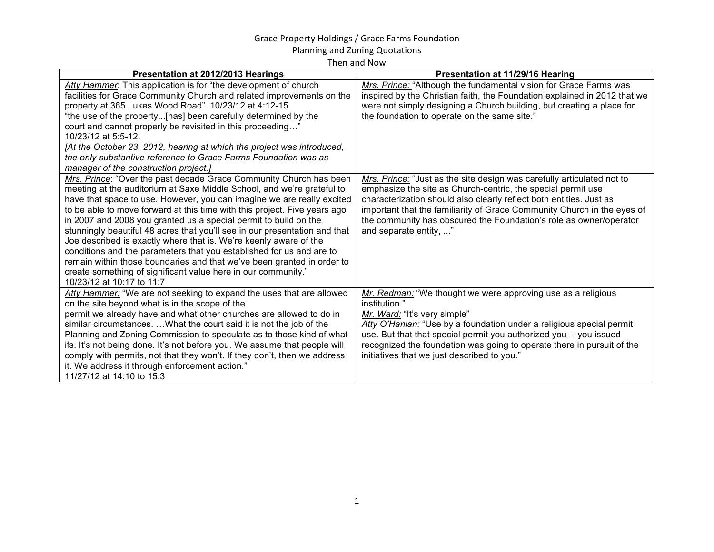## Grace Property Holdings / Grace Farms Foundation

Planning and Zoning Quotations

Then and Now

| Presentation at 2012/2013 Hearings                                          | <b>Presentation at 11/29/16 Hearing</b>                                   |
|-----------------------------------------------------------------------------|---------------------------------------------------------------------------|
| Atty Hammer: This application is for "the development of church             | Mrs. Prince: "Although the fundamental vision for Grace Farms was         |
| facilities for Grace Community Church and related improvements on the       | inspired by the Christian faith, the Foundation explained in 2012 that we |
| property at 365 Lukes Wood Road". 10/23/12 at 4:12-15                       | were not simply designing a Church building, but creating a place for     |
| "the use of the property[has] been carefully determined by the              | the foundation to operate on the same site."                              |
| court and cannot properly be revisited in this proceeding"                  |                                                                           |
| 10/23/12 at 5:5-12.                                                         |                                                                           |
| [At the October 23, 2012, hearing at which the project was introduced,      |                                                                           |
| the only substantive reference to Grace Farms Foundation was as             |                                                                           |
| manager of the construction project.]                                       |                                                                           |
| Mrs. Prince: "Over the past decade Grace Community Church has been          | Mrs. Prince: "Just as the site design was carefully articulated not to    |
| meeting at the auditorium at Saxe Middle School, and we're grateful to      | emphasize the site as Church-centric, the special permit use              |
| have that space to use. However, you can imagine we are really excited      | characterization should also clearly reflect both entities. Just as       |
| to be able to move forward at this time with this project. Five years ago   | important that the familiarity of Grace Community Church in the eyes of   |
| in 2007 and 2008 you granted us a special permit to build on the            | the community has obscured the Foundation's role as owner/operator        |
| stunningly beautiful 48 acres that you'll see in our presentation and that  | and separate entity, "                                                    |
| Joe described is exactly where that is. We're keenly aware of the           |                                                                           |
| conditions and the parameters that you established for us and are to        |                                                                           |
| remain within those boundaries and that we've been granted in order to      |                                                                           |
| create something of significant value here in our community."               |                                                                           |
| 10/23/12 at 10:17 to 11:7                                                   |                                                                           |
| Atty Hammer: "We are not seeking to expand the uses that are allowed        | Mr. Redman: "We thought we were approving use as a religious              |
| on the site beyond what is in the scope of the                              | institution."                                                             |
| permit we already have and what other churches are allowed to do in         | Mr. Ward: "It's very simple"                                              |
| similar circumstances.  What the court said it is not the job of the        | Atty O'Hanlan: "Use by a foundation under a religious special permit      |
| Planning and Zoning Commission to speculate as to those kind of what        | use. But that that special permit you authorized you -- you issued        |
| ifs. It's not being done. It's not before you. We assume that people will   | recognized the foundation was going to operate there in pursuit of the    |
| comply with permits, not that they won't. If they don't, then we address    | initiatives that we just described to you."                               |
| it. We address it through enforcement action."<br>11/27/12 at 14:10 to 15:3 |                                                                           |
|                                                                             |                                                                           |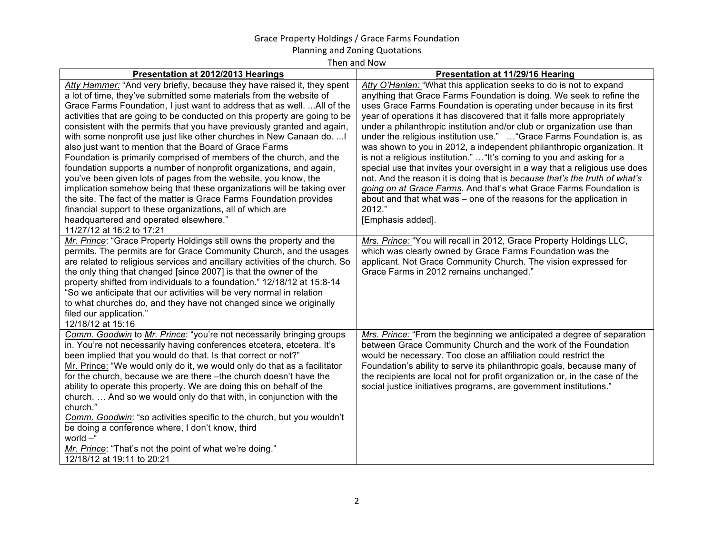## Grace Property Holdings / Grace Farms Foundation

Planning and Zoning Quotations

Then and Now

| Presentation at 2012/2013 Hearings                                           | Presentation at 11/29/16 Hearing                                            |
|------------------------------------------------------------------------------|-----------------------------------------------------------------------------|
| Atty Hammer: "And very briefly, because they have raised it, they spent      | Atty O'Hanlan: "What this application seeks to do is not to expand          |
| a lot of time, they've submitted some materials from the website of          | anything that Grace Farms Foundation is doing. We seek to refine the        |
| Grace Farms Foundation, I just want to address that as well.  All of the     | uses Grace Farms Foundation is operating under because in its first         |
| activities that are going to be conducted on this property are going to be   | year of operations it has discovered that it falls more appropriately       |
| consistent with the permits that you have previously granted and again,      | under a philanthropic institution and/or club or organization use than      |
| with some nonprofit use just like other churches in New Canaan do.           | under the religious institution use."  "Grace Farms Foundation is, as       |
| also just want to mention that the Board of Grace Farms                      | was shown to you in 2012, a independent philanthropic organization. It      |
| Foundation is primarily comprised of members of the church, and the          | is not a religious institution."  "It's coming to you and asking for a      |
| foundation supports a number of nonprofit organizations, and again,          | special use that invites your oversight in a way that a religious use does  |
| you've been given lots of pages from the website, you know, the              | not. And the reason it is doing that is because that's the truth of what's  |
| implication somehow being that these organizations will be taking over       | going on at Grace Farms. And that's what Grace Farms Foundation is          |
| the site. The fact of the matter is Grace Farms Foundation provides          | about and that what was – one of the reasons for the application in         |
| financial support to these organizations, all of which are                   | 2012."                                                                      |
| headquartered and operated elsewhere."                                       | [Emphasis added].                                                           |
| 11/27/12 at 16:2 to 17:21                                                    |                                                                             |
| Mr. Prince: "Grace Property Holdings still owns the property and the         | Mrs. Prince: "You will recall in 2012, Grace Property Holdings LLC,         |
| permits. The permits are for Grace Community Church, and the usages          | which was clearly owned by Grace Farms Foundation was the                   |
| are related to religious services and ancillary activities of the church. So | applicant. Not Grace Community Church. The vision expressed for             |
| the only thing that changed [since 2007] is that the owner of the            | Grace Farms in 2012 remains unchanged."                                     |
| property shifted from individuals to a foundation." 12/18/12 at 15:8-14      |                                                                             |
| "So we anticipate that our activities will be very normal in relation        |                                                                             |
| to what churches do, and they have not changed since we originally           |                                                                             |
| filed our application."                                                      |                                                                             |
| 12/18/12 at 15:16                                                            |                                                                             |
| Comm. Goodwin to Mr. Prince: "you're not necessarily bringing groups         | Mrs. Prince: "From the beginning we anticipated a degree of separation      |
| in. You're not necessarily having conferences etcetera, etcetera. It's       | between Grace Community Church and the work of the Foundation               |
| been implied that you would do that. Is that correct or not?"                | would be necessary. Too close an affiliation could restrict the             |
| Mr. Prince: "We would only do it, we would only do that as a facilitator     | Foundation's ability to serve its philanthropic goals, because many of      |
| for the church, because we are there -the church doesn't have the            | the recipients are local not for profit organization or, in the case of the |
| ability to operate this property. We are doing this on behalf of the         | social justice initiatives programs, are government institutions."          |
| church.  And so we would only do that with, in conjunction with the          |                                                                             |
| church."                                                                     |                                                                             |
| Comm. Goodwin: "so activities specific to the church, but you wouldn't       |                                                                             |
| be doing a conference where, I don't know, third                             |                                                                             |
| world -"                                                                     |                                                                             |
| Mr. Prince: "That's not the point of what we're doing."                      |                                                                             |
| 12/18/12 at 19:11 to 20:21                                                   |                                                                             |